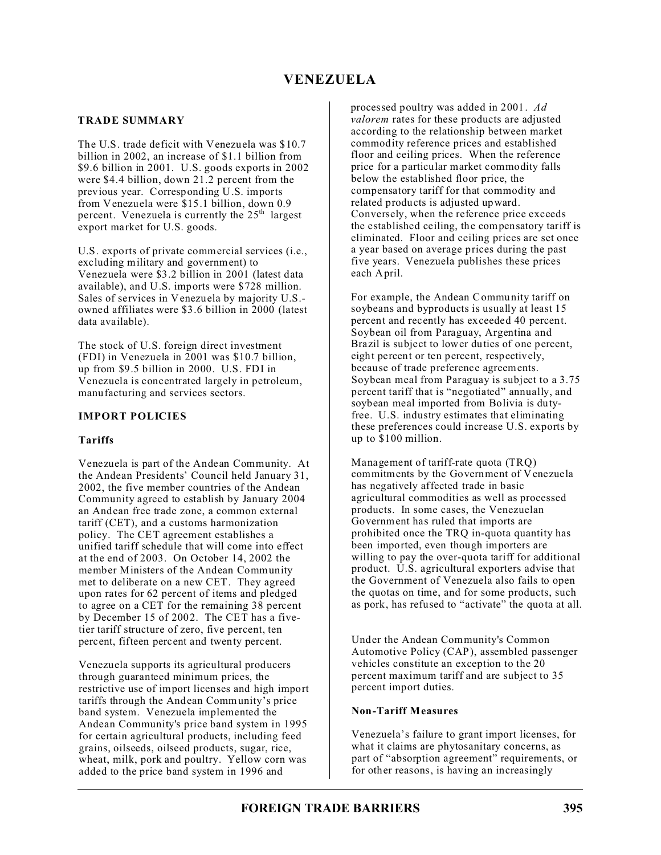### **TRADE SUMMARY**

The U.S. trade deficit with Venezuela was \$10.7 billion in 2002, an increase of \$1.1 billion from \$9.6 billion in 2001. U.S. goods exports in 2002 were \$4.4 billion, down 21.2 percent from the previous year. Corresponding U.S. imports from Venezuela were \$15.1 billion, down 0.9 percent. Venezuela is currently the  $25<sup>th</sup>$  largest export market for U.S. goods.

U.S. exports of private commercial services (i.e., excluding military and government) to Venezuela were \$3.2 billion in 2001 (latest data available), and U.S. imports were \$728 million. Sales of services in Venezuela by majority U.S. owned affiliates were \$3.6 billion in 2000 (latest data available).

The stock of U.S. foreign direct investment (FDI) in Venezuela in 2001 was \$10.7 billion, up from \$9.5 billion in 2000. U.S. FDI in Venezuela is concentrated largely in petroleum, manufacturing and services sectors.

# **IMPORT POLICIES**

### **Tariffs**

Venezuela is part of the Andean Community. At the Andean Presidents' Council held January 31, 2002, the five member countries of the Andean Community agreed to establish by January 2004 an Andean free trade zone, a common external tariff (CET), and a customs harmonization policy. The CET agreement establishes a unified tariff schedule that will come into effect at the end of 2003. On October 14, 2002 the member Ministers of the Andean Community met to deliberate on a new CET. They agreed upon rates for 62 percent of items and pledged to agree on a CET for the remaining 38 percent by December 15 of 2002. The CET has a fivetier tariff structure of zero, five percent, ten percent, fifteen percent and twenty percent.

Venezuela supports its agricultural producers through guaranteed minimum prices, the restrictive use of import licenses and high import tariffs through the Andean Community's price band system. Venezuela implemented the Andean Community's price band system in 1995 for certain agricultural products, including feed grains, oilseeds, oilseed products, sugar, rice, wheat, milk, pork and poultry. Yellow corn was added to the price band system in 1996 and

processed poultry was added in 2001. *Ad valorem* rates for these products are adjusted according to the relationship between market commodity reference prices and established floor and ceiling prices. When the reference price for a particular market commodity falls below the established floor price, the compensatory tariff for that commodity and related products is adjusted upward. Conversely, when the reference price exceeds the established ceiling, the compensatory tariff is eliminated. Floor and ceiling prices are set once a year based on average prices during the past five years. Venezuela publishes these prices each April.

For example, the Andean Community tariff on soybeans and byproducts is usually at least 15 percent and recently has exceeded 40 percent. Soybean oil from Paraguay, Argentina and Brazil is subject to lower duties of one percent, eight percent or ten percent, respectively, because of trade preference agreements. Soybean meal from Paraguay is subject to a 3.75 percent tariff that is "negotiated" annually, and soybean meal imported from Bolivia is dutyfree. U.S. industry estimates that eliminating these preferences could increase U.S. exports by up to \$100 million.

Management of tariff-rate quota (TRQ) commitments by the Government of Venezuela has negatively affected trade in basic agricultural commodities as well as processed products. In some cases, the Venezuelan Government has ruled that imports are prohibited once the TRQ in-quota quantity has been imported, even though importers are willing to pay the over-quota tariff for additional product. U.S. agricultural exporters advise that the Government of Venezuela also fails to open the quotas on time, and for some products, such as pork, has refused to "activate" the quota at all.

Under the Andean Community's Common Automotive Policy (CAP), assembled passenger vehicles constitute an exception to the 20 percent maximum tariff and are subject to 35 percent import duties.

### **Non-Tariff Measures**

Venezuela's failure to grant import licenses, for what it claims are phytosanitary concerns, as part of "absorption agreement" requirements, or for other reasons, is having an increasingly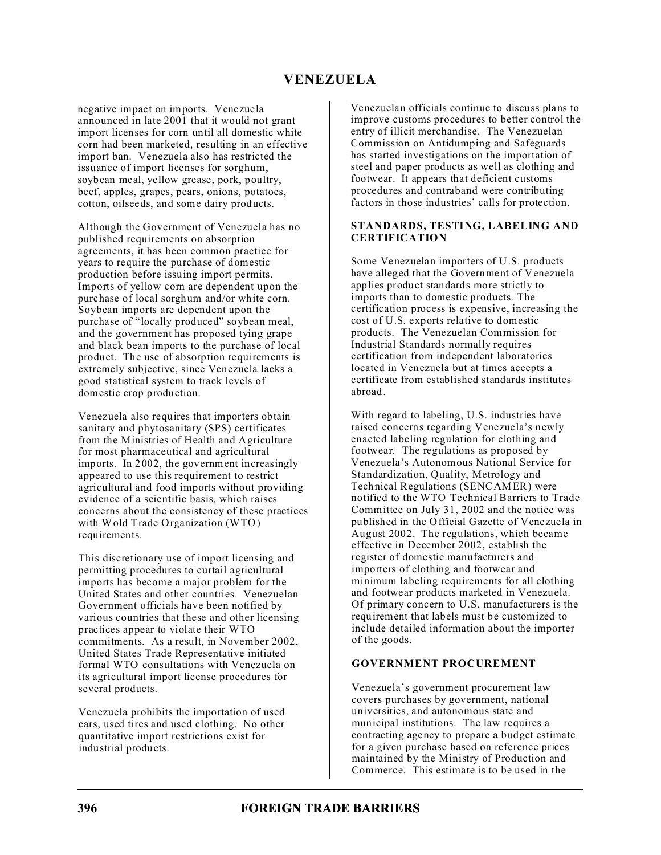negative impact on imports. Venezuela announced in late 2001 that it would not grant import licenses for corn until all domestic white corn had been marketed, resulting in an effective import ban. Venezuela also has restricted the issuance of import licenses for sorghum, soybean meal, yellow grease, pork, poultry, beef, apples, grapes, pears, onions, potatoes, cotton, oilseeds, and some dairy products.

Although the Government of Venezuela has no published requirements on absorption agreements, it has been common practice for years to require the purchase of domestic production before issuing import permits. Imports of yellow corn are dependent upon the purchase of local sorghum and/or white corn. Soybean imports are dependent upon the purchase of "locally produced" soybean meal, and the government has proposed tying grape and black bean imports to the purchase of local product. The use of absorption requirements is extremely subjective, since Venezuela lacks a good statistical system to track levels of domestic crop production.

Venezuela also requires that importers obtain sanitary and phytosanitary (SPS) certificates from the Ministries of Health and Agriculture for most pharmaceutical and agricultural imports. In 2002, the government increasingly appeared to use this requirement to restrict agricultural and food imports without providing evidence of a scientific basis, which raises concerns about the consistency of these practices with Wold Trade Organization (WTO) requirements.

This discretionary use of import licensing and permitting procedures to curtail agricultural imports has become a major problem for the United States and other countries. Venezuelan Government officials have been notified by various countries that these and other licensing practices appear to violate their WTO commitments. As a result, in November 2002, United States Trade Representative initiated formal WTO consultations with Venezuela on its agricultural import license procedures for several products.

Venezuela prohibits the importation of used cars, used tires and used clothing. No other quantitative import restrictions exist for industrial products.

Venezuelan officials continue to discuss plans to improve customs procedures to better control the entry of illicit merchandise. The Venezuelan Commission on Antidumping and Safeguards has started investigations on the importation of steel and paper products as well as clothing and footwear. It appears that deficient customs procedures and contraband were contributing factors in those industries' calls for protection.

#### **STANDARDS, TESTING, LABELING AND CERTIFICATION**

Some Venezuelan importers of U.S. products have alleged that the Government of Venezuela applies product standards more strictly to imports than to domestic products. The certification process is expensive, increasing the cost of U.S. exports relative to domestic products. The Venezuelan Commission for Industrial Standards normally requires certification from independent laboratories located in Venezuela but at times accepts a certificate from established standards institutes abroad.

With regard to labeling, U.S. industries have raised concerns regarding Venezuela's newly enacted labeling regulation for clothing and footwear. The regulations as proposed by Venezuela's Autonomous National Service for Standardization, Quality, Metrology and Technical Regulations (SENCAMER) were notified to the WTO Technical Barriers to Trade Committee on July 31, 2002 and the notice was published in the Official Gazette of Venezuela in August 2002. The regulations, which became effective in December 2002, establish the register of domestic manufacturers and importers of clothing and footwear and minimum labeling requirements for all clothing and footwear products marketed in Venezuela. Of primary concern to U.S. manufacturers is the requirement that labels must be customized to include detailed information about the importer of the goods.

#### **GOVERNMENT PROCUREMENT**

Venezuela's government procurement law covers purchases by government, national universities, and autonomous state and municipal institutions. The law requires a contracting agency to prepare a budget estimate for a given purchase based on reference prices maintained by the Ministry of Production and Commerce. This estimate is to be used in the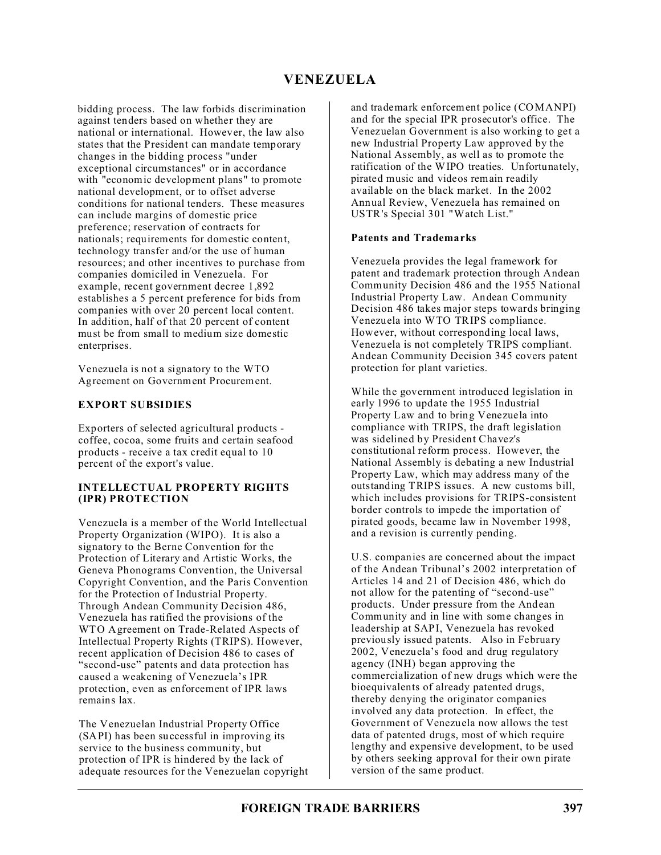bidding process. The law forbids discrimination against tenders based on whether they are national or international. However, the law also states that the President can mandate temporary changes in the bidding process "under exceptional circumstances" or in accordance with "economic development plans" to promote national development, or to offset adverse conditions for national tenders. These measures can include margins of domestic price preference; reservation of contracts for nationals; requirements for domestic content, technology transfer and/or the use of human resources; and other incentives to purchase from companies domiciled in Venezuela. For example, recent government decree 1,892 establishes a 5 percent preference for bids from companies with over 20 percent local content. In addition, half of that 20 percent of content must be from small to medium size domestic enterprises.

Venezuela is not a signatory to the WTO Agreement on Government Procurement.

# **EXPORT SUBSIDIES**

Exporters of selected agricultural products coffee, cocoa, some fruits and certain seafood products - receive a tax credit equal to 10 percent of the export's value.

# **INTELLECTUAL PROPERTY RIGHTS (IPR) PROTECTION**

Venezuela is a member of the World Intellectual Property Organization (WIPO). It is also a signatory to the Berne Convention for the Protection of Literary and Artistic Works, the Geneva Phonograms Convention, the Universal Copyright Convention, and the Paris Convention for the Protection of Industrial Property. Through Andean Community Decision 486, Venezuela has ratified the provisions of the WTO Agreement on Trade-Related Aspects of Intellectual Property Rights (TRIPS). However, recent application of Decision 486 to cases of "second-use" patents and data protection has caused a weakening of Venezuela's IPR protection, even as enforcement of IPR laws remains lax.

The Venezuelan Industrial Property Office (SAPI) has been successful in improving its service to the business community, but protection of IPR is hindered by the lack of adequate resources for the Venezuelan copyright and trademark enforcement police (COMANPI) and for the special IPR prosecutor's office. The Venezuelan Government is also working to get a new Industrial Property Law approved by the National Assembly, as well as to promote the ratification of the WIPO treaties. Unfortunately, pirated music and videos remain readily available on the black market. In the 2002 Annual Review, Venezuela has remained on USTR's Special 301 "Watch List."

### **Patents and Trademarks**

Venezuela provides the legal framework for patent and trademark protection through Andean Community Decision 486 and the 1955 National Industrial Property Law. Andean Community Decision 486 takes major steps towards bringing Venezuela into WTO TRIPS compliance. However, without corresponding local laws, Venezuela is not completely TRIPS compliant. Andean Community Decision 345 covers patent protection for plant varieties.

While the government introduced legislation in early 1996 to update the 1955 Industrial Property Law and to bring Venezuela into compliance with TRIPS, the draft legislation was sidelined by President Chavez's constitutional reform process. However, the National Assembly is debating a new Industrial Property Law, which may address many of the outstanding TRIPS issues. A new customs bill, which includes provisions for TRIPS-consistent border controls to impede the importation of pirated goods, became law in November 1998, and a revision is currently pending.

U.S. companies are concerned about the impact of the Andean Tribunal's 2002 interpretation of Articles 14 and 21 of Decision 486, which do not allow for the patenting of "second-use" products. Under pressure from the Andean Community and in line with some changes in leadership at SAPI, Venezuela has revoked previously issued patents. Also in February 2002, Venezuela's food and drug regulatory agency (INH) began approving the commercialization of new drugs which were the bioequivalents of already patented drugs, thereby denying the originator companies involved any data protection. In effect, the Government of Venezuela now allows the test data of patented drugs, most of which require lengthy and expensive development, to be used by others seeking approval for their own pirate version of the same product.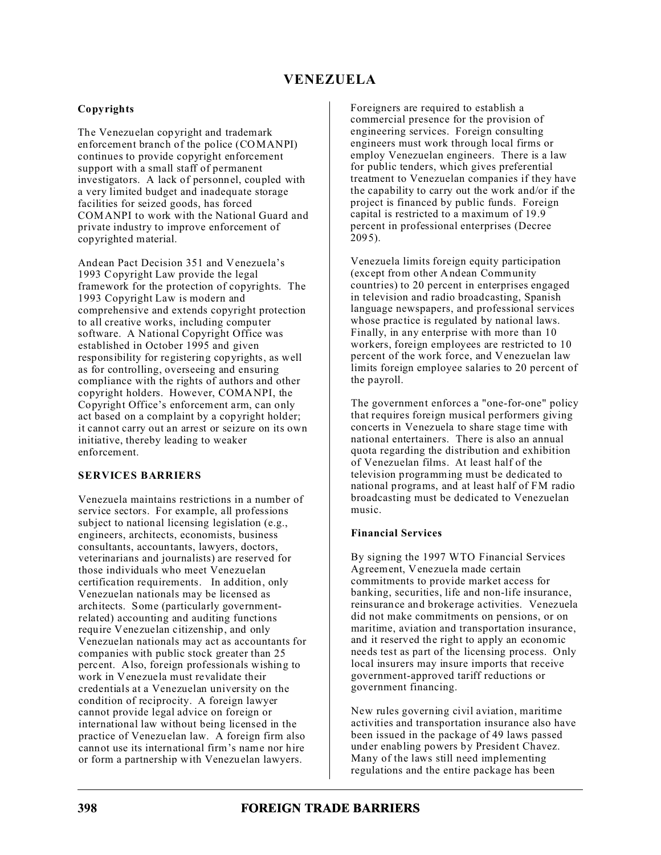# **Copyrights**

The Venezuelan copyright and trademark enforcement branch of the police (COMANPI) continues to provide copyright enforcement support with a small staff of permanent investigators. A lack of personnel, coupled with a very limited budget and inadequate storage facilities for seized goods, has forced COMANPI to work with the National Guard and private industry to improve enforcement of copyrighted material.

Andean Pact Decision 351 and Venezuela's 1993 Copyright Law provide the legal framework for the protection of copyrights. The 1993 Copyright Law is modern and comprehensive and extends copyright protection to all creative works, including computer software. A National Copyright Office was established in October 1995 and given responsibility for registering copyrights, as well as for controlling, overseeing and ensuring compliance with the rights of authors and other copyright holders. However, COMANPI, the Copyright Office's enforcement arm, can only act based on a complaint by a copyright holder; it cannot carry out an arrest or seizure on its own initiative, thereby leading to weaker enforcement.

### **SERVICES BARRIERS**

Venezuela maintains restrictions in a number of service sectors. For example, all professions subject to national licensing legislation (e.g., engineers, architects, economists, business consultants, accountants, lawyers, doctors, veterinarians and journalists) are reserved for those individuals who meet Venezuelan certification requirements. In addition, only Venezuelan nationals may be licensed as architects. Some (particularly governmentrelated) accounting and auditing functions require Venezuelan citizenship, and only Venezuelan nationals may act as accountants for companies with public stock greater than 25 percent. Also, foreign professionals wishing to work in Venezuela must revalidate their credentials at a Venezuelan university on the condition of reciprocity. A foreign lawyer cannot provide legal advice on foreign or international law without being licensed in the practice of Venezuelan law. A foreign firm also cannot use its international firm's name nor hire or form a partnership with Venezuelan lawyers.

Foreigners are required to establish a commercial presence for the provision of engineering services. Foreign consulting engineers must work through local firms or employ Venezuelan engineers. There is a law for public tenders, which gives preferential treatment to Venezuelan companies if they have the capability to carry out the work and/or if the project is financed by public funds. Foreign capital is restricted to a maximum of 19.9 percent in professional enterprises (Decree  $2095$ ).

Venezuela limits foreign equity participation (except from other Andean Community countries) to 20 percent in enterprises engaged in television and radio broadcasting, Spanish language newspapers, and professional services whose practice is regulated by national laws. Finally, in any enterprise with more than 10 workers, foreign employees are restricted to 10 percent of the work force, and Venezuelan law limits foreign employee salaries to 20 percent of the payroll.

The government enforces a "one-for-one" policy that requires foreign musical performers giving concerts in Venezuela to share stage time with national entertainers. There is also an annual quota regarding the distribution and exhibition of Venezuelan films. At least half of the television programming must be dedicated to national programs, and at least half of FM radio broadcasting must be dedicated to Venezuelan music.

#### **Financial Services**

By signing the 1997 WTO Financial Services Agreement, Venezuela made certain commitments to provide market access for banking, securities, life and non-life insurance, reinsurance and brokerage activities. Venezuela did not make commitments on pensions, or on maritime, aviation and transportation insurance, and it reserved the right to apply an economic needs test as part of the licensing process. Only local insurers may insure imports that receive government-approved tariff reductions or government financing.

New rules governing civil aviation, maritime activities and transportation insurance also have been issued in the package of 49 laws passed under enabling powers by President Chavez. Many of the laws still need implementing regulations and the entire package has been